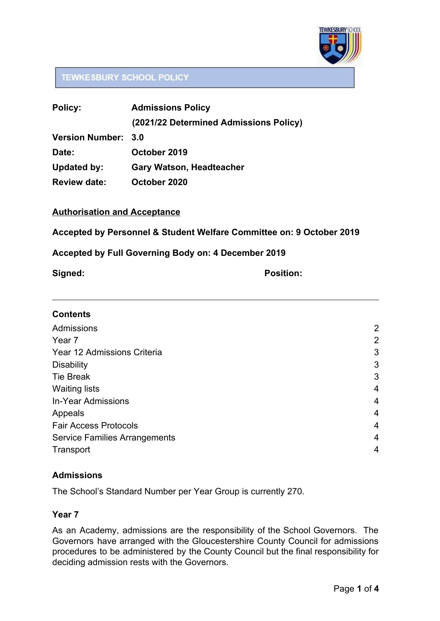

# **TEWKESBURY SCHOOL POLICY**

| <b>Policy:</b>             | <b>Admissions Policy</b>               |
|----------------------------|----------------------------------------|
|                            | (2021/22 Determined Admissions Policy) |
| <b>Version Number: 3.0</b> |                                        |
| Date:                      | October 2019                           |
| <b>Updated by:</b>         | <b>Gary Watson, Headteacher</b>        |
| <b>Review date:</b>        | October 2020                           |

### **Authorisation and Acceptance**

**Accepted by Personnel & Student Welfare Committee on: 9 October 2019**

### **Accepted by Full Governing Body on: 4 December 2019**

**Signed: Position:**

### **Contents**

| Admissions                           | 2              |
|--------------------------------------|----------------|
| Year <sub>7</sub>                    | $\overline{2}$ |
| Year 12 Admissions Criteria          | 3              |
| <b>Disability</b>                    | 3              |
| <b>Tie Break</b>                     | 3              |
| <b>Waiting lists</b>                 | $\overline{4}$ |
| <b>In-Year Admissions</b>            | $\overline{4}$ |
| Appeals                              | 4              |
| <b>Fair Access Protocols</b>         | $\overline{4}$ |
| <b>Service Families Arrangements</b> | 4              |
| Transport                            | 4              |
|                                      |                |

## <span id="page-0-0"></span>**Admissions**

The School's Standard Number per Year Group is currently 270.

### <span id="page-0-1"></span>**Year 7**

As an Academy, admissions are the responsibility of the School Governors. The Governors have arranged with the Gloucestershire County Council for admissions procedures to be administered by the County Council but the final responsibility for deciding admission rests with the Governors.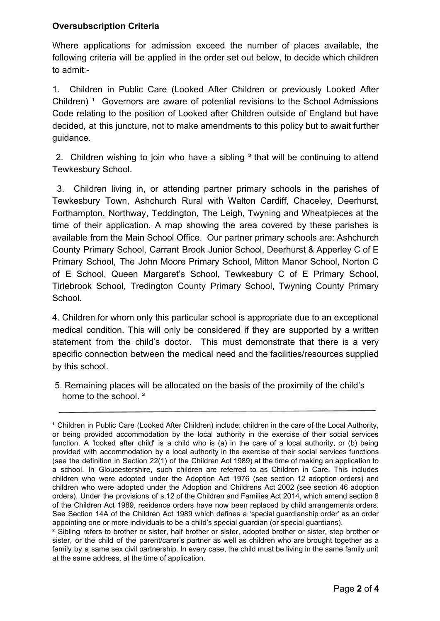## **Oversubscription Criteria**

Where applications for admission exceed the number of places available, the following criteria will be applied in the order set out below, to decide which children to admit:-

1. Children in Public Care (Looked After Children or previously Looked After Children)<sup>1</sup> Governors are aware of potential revisions to the School Admissions Code relating to the position of Looked after Children outside of England but have decided, at this juncture, not to make amendments to this policy but to await further guidance.

2. Children wishing to join who have a sibling ² that will be continuing to attend Tewkesbury School.

3. Children living in, or attending partner primary schools in the parishes of Tewkesbury Town, Ashchurch Rural with Walton Cardiff, Chaceley, Deerhurst, Forthampton, Northway, Teddington, The Leigh, Twyning and Wheatpieces at the time of their application. A map showing the area covered by these parishes is available from the Main School Office. Our partner primary schools are: Ashchurch County Primary School, Carrant Brook Junior School, Deerhurst & Apperley C of E Primary School, The John Moore Primary School, Mitton Manor School, Norton C of E School, Queen Margaret's School, Tewkesbury C of E Primary School, Tirlebrook School, Tredington County Primary School, Twyning County Primary School.

4. Children for whom only this particular school is appropriate due to an exceptional medical condition. This will only be considered if they are supported by a written statement from the child's doctor. This must demonstrate that there is a very specific connection between the medical need and the facilities/resources supplied by this school.

 5. Remaining places will be allocated on the basis of the proximity of the child's home to the school.<sup>3</sup>

<sup>&</sup>lt;sup>1</sup> Children in Public Care (Looked After Children) include: children in the care of the Local Authority, or being provided accommodation by the local authority in the exercise of their social services function. A 'looked after child' is a child who is (a) in the care of a local authority, or (b) being provided with accommodation by a local authority in the exercise of their social services functions (see the definition in Section 22(1) of the Children Act 1989) at the time of making an application to a school. In Gloucestershire, such children are referred to as Children in Care. This includes children who were adopted under the Adoption Act 1976 (see section 12 adoption orders) and children who were adopted under the Adoption and Childrens Act 2002 (see section 46 adoption orders). Under the provisions of s.12 of the Children and Families Act 2014, which amend section 8 of the Children Act 1989, residence orders have now been replaced by child arrangements orders. See Section 14A of the Children Act 1989 which defines a 'special guardianship order' as an order appointing one or more individuals to be a child's special guardian (or special guardians).

**²** Sibling refers to brother or sister, half brother or sister, adopted brother or sister, step brother or sister, or the child of the parent/carer's partner as well as children who are brought together as a family by a same sex civil partnership. In every case, the child must be living in the same family unit at the same address, at the time of application.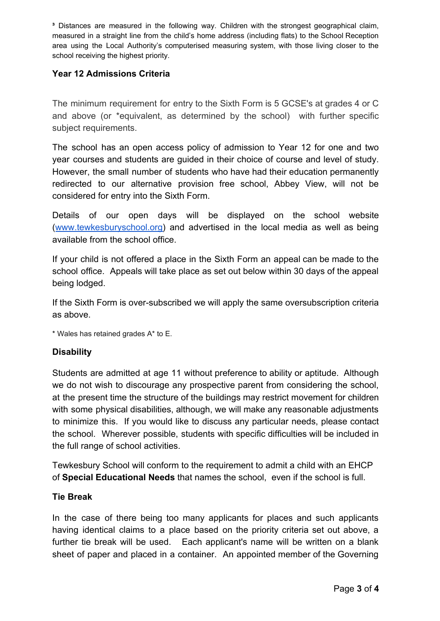**³** Distances are measured in the following way. Children with the strongest geographical claim, measured in a straight line from the child's home address (including flats) to the School Reception area using the Local Authority's computerised measuring system, with those living closer to the school receiving the highest priority.

# <span id="page-2-0"></span>**Year 12 Admissions Criteria**

The minimum requirement for entry to the Sixth Form is 5 GCSE's at grades 4 or C and above (or \*equivalent, as determined by the school) with further specific subject requirements.

The school has an open access policy of admission to Year 12 for one and two year courses and students are guided in their choice of course and level of study. However, the small number of students who have had their education permanently redirected to our alternative provision free school, Abbey View, will not be considered for entry into the Sixth Form.

Details of our open days will be displayed on the school website ([www.tewkesburyschool.org\)](http://www.tewkesburyschool.org/) and advertised in the local media as well as being available from the school office.

If your child is not offered a place in the Sixth Form an appeal can be made to the school office. Appeals will take place as set out below within 30 days of the appeal being lodged.

If the Sixth Form is over-subscribed we will apply the same oversubscription criteria as above.

\* Wales has retained grades A\* to E.

## <span id="page-2-1"></span>**Disability**

Students are admitted at age 11 without preference to ability or aptitude. Although we do not wish to discourage any prospective parent from considering the school, at the present time the structure of the buildings may restrict movement for children with some physical disabilities, although, we will make any reasonable adjustments to minimize this. If you would like to discuss any particular needs, please contact the school. Wherever possible, students with specific difficulties will be included in the full range of school activities.

Tewkesbury School will conform to the requirement to admit a child with an EHCP of **Special Educational Needs** that names the school, even if the school is full.

### <span id="page-2-2"></span>**Tie Break**

In the case of there being too many applicants for places and such applicants having identical claims to a place based on the priority criteria set out above, a further tie break will be used. Each applicant's name will be written on a blank sheet of paper and placed in a container. An appointed member of the Governing